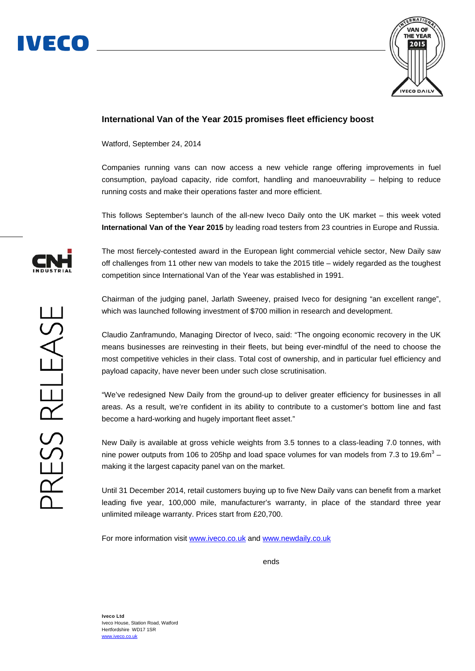



## **International Van of the Year 2015 promises fleet efficiency boost**

Watford, September 24, 2014

Companies running vans can now access a new vehicle range offering improvements in fuel consumption, payload capacity, ride comfort, handling and manoeuvrability – helping to reduce running costs and make their operations faster and more efficient.

This follows September's launch of the all-new Iveco Daily onto the UK market – this week voted **International Van of the Year 2015** by leading road testers from 23 countries in Europe and Russia.

The most fiercely-contested award in the European light commercial vehicle sector, New Daily saw off challenges from 11 other new van models to take the 2015 title – widely regarded as the toughest competition since International Van of the Year was established in 1991.

Chairman of the judging panel, Jarlath Sweeney, praised Iveco for designing "an excellent range", which was launched following investment of \$700 million in research and development.

Claudio Zanframundo, Managing Director of Iveco, said: "The ongoing economic recovery in the UK means businesses are reinvesting in their fleets, but being ever-mindful of the need to choose the most competitive vehicles in their class. Total cost of ownership, and in particular fuel efficiency and payload capacity, have never been under such close scrutinisation.

"We've redesigned New Daily from the ground-up to deliver greater efficiency for businesses in all areas. As a result, we're confident in its ability to contribute to a customer's bottom line and fast become a hard-working and hugely important fleet asset."

New Daily is available at gross vehicle weights from 3.5 tonnes to a class-leading 7.0 tonnes, with nine power outputs from 106 to 205hp and load space volumes for van models from 7.3 to 19.6m<sup>3</sup> – making it the largest capacity panel van on the market.

Until 31 December 2014, retail customers buying up to five New Daily vans can benefit from a market leading five year, 100,000 mile, manufacturer's warranty, in place of the standard three year unlimited mileage warranty. Prices start from £20,700.

For more information visit www.iveco.co.uk and www.newdaily.co.uk

*ends ends*